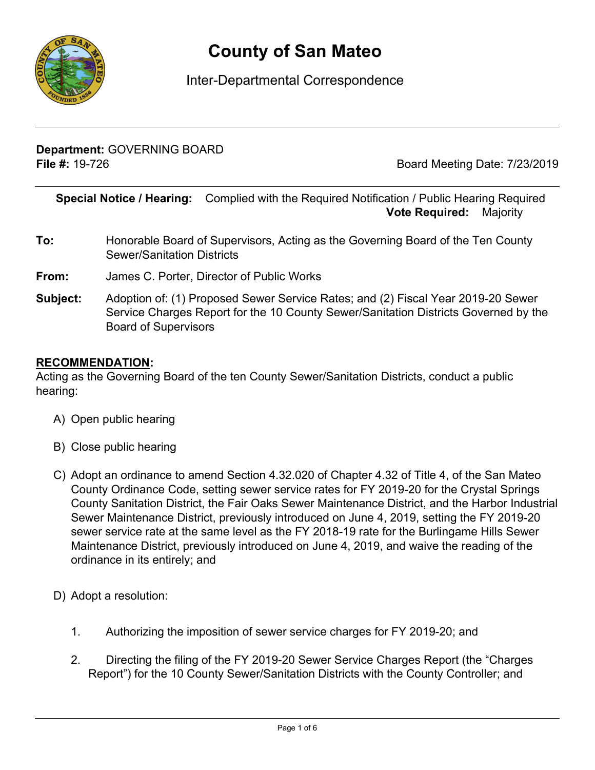

# **County of San Mateo**

# Inter-Departmental Correspondence

**Department:** GOVERNING BOARD **File #:** 19-726 Board Meeting Date: 7/23/2019

**Special Notice / Hearing:** Complied with the Required Notification / Public Hearing Required\_\_ **Vote Required:** Majority

- **To:** Honorable Board of Supervisors, Acting as the Governing Board of the Ten County Sewer/Sanitation Districts
- **From:** James C. Porter, Director of Public Works
- **Subject:** Adoption of: (1) Proposed Sewer Service Rates; and (2) Fiscal Year 2019-20 Sewer Service Charges Report for the 10 County Sewer/Sanitation Districts Governed by the Board of Supervisors

#### **RECOMMENDATION:**

Acting as the Governing Board of the ten County Sewer/Sanitation Districts, conduct a public hearing:

- A) Open public hearing
- B) Close public hearing
- C) Adopt an ordinance to amend Section 4.32.020 of Chapter 4.32 of Title 4, of the San Mateo County Ordinance Code, setting sewer service rates for FY 2019-20 for the Crystal Springs County Sanitation District, the Fair Oaks Sewer Maintenance District, and the Harbor Industrial Sewer Maintenance District, previously introduced on June 4, 2019, setting the FY 2019-20 sewer service rate at the same level as the FY 2018-19 rate for the Burlingame Hills Sewer Maintenance District, previously introduced on June 4, 2019, and waive the reading of the ordinance in its entirely; and
- D) Adopt a resolution:
	- 1. Authorizing the imposition of sewer service charges for FY 2019-20; and
	- 2. Directing the filing of the FY 2019-20 Sewer Service Charges Report (the "Charges Report") for the 10 County Sewer/Sanitation Districts with the County Controller; and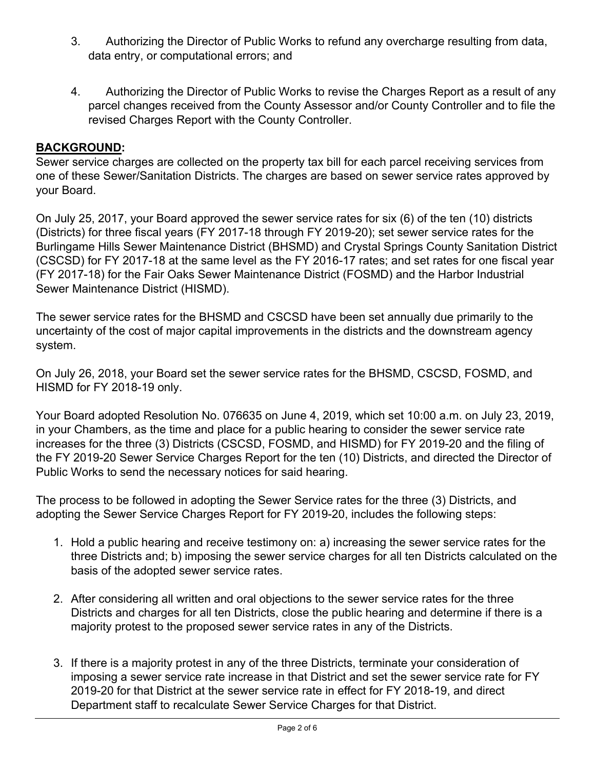- 3. Authorizing the Director of Public Works to refund any overcharge resulting from data, data entry, or computational errors; and
- 4. Authorizing the Director of Public Works to revise the Charges Report as a result of any parcel changes received from the County Assessor and/or County Controller and to file the revised Charges Report with the County Controller.

## **BACKGROUND:**

Sewer service charges are collected on the property tax bill for each parcel receiving services from one of these Sewer/Sanitation Districts. The charges are based on sewer service rates approved by your Board.

On July 25, 2017, your Board approved the sewer service rates for six (6) of the ten (10) districts (Districts) for three fiscal years (FY 2017-18 through FY 2019-20); set sewer service rates for the Burlingame Hills Sewer Maintenance District (BHSMD) and Crystal Springs County Sanitation District (CSCSD) for FY 2017-18 at the same level as the FY 2016-17 rates; and set rates for one fiscal year (FY 2017-18) for the Fair Oaks Sewer Maintenance District (FOSMD) and the Harbor Industrial Sewer Maintenance District (HISMD).

The sewer service rates for the BHSMD and CSCSD have been set annually due primarily to the uncertainty of the cost of major capital improvements in the districts and the downstream agency system.

On July 26, 2018, your Board set the sewer service rates for the BHSMD, CSCSD, FOSMD, and HISMD for FY 2018-19 only.

Your Board adopted Resolution No. 076635 on June 4, 2019, which set 10:00 a.m. on July 23, 2019, in your Chambers, as the time and place for a public hearing to consider the sewer service rate increases for the three (3) Districts (CSCSD, FOSMD, and HISMD) for FY 2019-20 and the filing of the FY 2019-20 Sewer Service Charges Report for the ten (10) Districts, and directed the Director of Public Works to send the necessary notices for said hearing.

The process to be followed in adopting the Sewer Service rates for the three (3) Districts, and adopting the Sewer Service Charges Report for FY 2019-20, includes the following steps:

- 1. Hold a public hearing and receive testimony on: a) increasing the sewer service rates for the three Districts and; b) imposing the sewer service charges for all ten Districts calculated on the basis of the adopted sewer service rates.
- 2. After considering all written and oral objections to the sewer service rates for the three Districts and charges for all ten Districts, close the public hearing and determine if there is a majority protest to the proposed sewer service rates in any of the Districts.
- 3. If there is a majority protest in any of the three Districts, terminate your consideration of imposing a sewer service rate increase in that District and set the sewer service rate for FY 2019-20 for that District at the sewer service rate in effect for FY 2018-19, and direct Department staff to recalculate Sewer Service Charges for that District.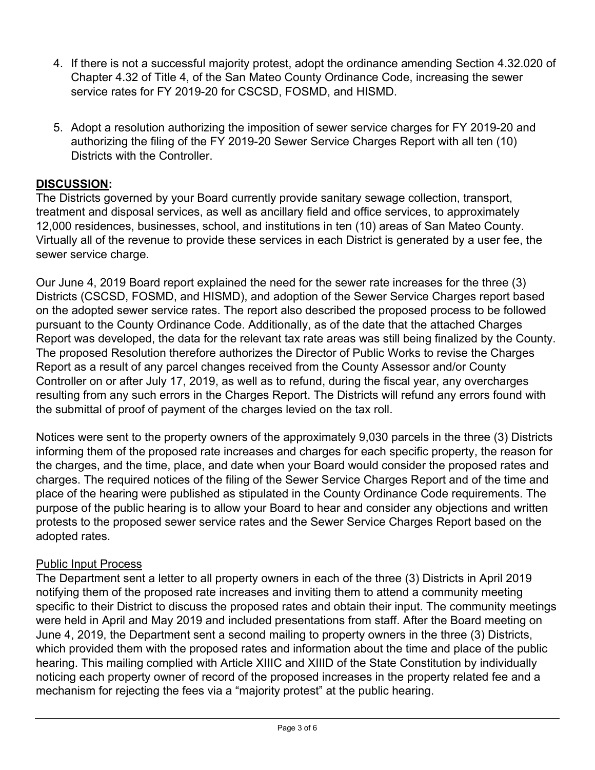- 4. If there is not a successful majority protest, adopt the ordinance amending Section 4.32.020 of Chapter 4.32 of Title 4, of the San Mateo County Ordinance Code, increasing the sewer service rates for FY 2019-20 for CSCSD, FOSMD, and HISMD.
- 5. Adopt a resolution authorizing the imposition of sewer service charges for FY 2019-20 and authorizing the filing of the FY 2019-20 Sewer Service Charges Report with all ten (10) Districts with the Controller.

# **DISCUSSION:**

The Districts governed by your Board currently provide sanitary sewage collection, transport, treatment and disposal services, as well as ancillary field and office services, to approximately 12,000 residences, businesses, school, and institutions in ten (10) areas of San Mateo County. Virtually all of the revenue to provide these services in each District is generated by a user fee, the sewer service charge.

Our June 4, 2019 Board report explained the need for the sewer rate increases for the three (3) Districts (CSCSD, FOSMD, and HISMD), and adoption of the Sewer Service Charges report based on the adopted sewer service rates. The report also described the proposed process to be followed pursuant to the County Ordinance Code. Additionally, as of the date that the attached Charges Report was developed, the data for the relevant tax rate areas was still being finalized by the County. The proposed Resolution therefore authorizes the Director of Public Works to revise the Charges Report as a result of any parcel changes received from the County Assessor and/or County Controller on or after July 17, 2019, as well as to refund, during the fiscal year, any overcharges resulting from any such errors in the Charges Report. The Districts will refund any errors found with the submittal of proof of payment of the charges levied on the tax roll.

Notices were sent to the property owners of the approximately 9,030 parcels in the three (3) Districts informing them of the proposed rate increases and charges for each specific property, the reason for the charges, and the time, place, and date when your Board would consider the proposed rates and charges. The required notices of the filing of the Sewer Service Charges Report and of the time and place of the hearing were published as stipulated in the County Ordinance Code requirements. The purpose of the public hearing is to allow your Board to hear and consider any objections and written protests to the proposed sewer service rates and the Sewer Service Charges Report based on the adopted rates.

# Public Input Process

The Department sent a letter to all property owners in each of the three (3) Districts in April 2019 notifying them of the proposed rate increases and inviting them to attend a community meeting specific to their District to discuss the proposed rates and obtain their input. The community meetings were held in April and May 2019 and included presentations from staff. After the Board meeting on June 4, 2019, the Department sent a second mailing to property owners in the three (3) Districts, which provided them with the proposed rates and information about the time and place of the public hearing. This mailing complied with Article XIIIC and XIIID of the State Constitution by individually noticing each property owner of record of the proposed increases in the property related fee and a mechanism for rejecting the fees via a "majority protest" at the public hearing.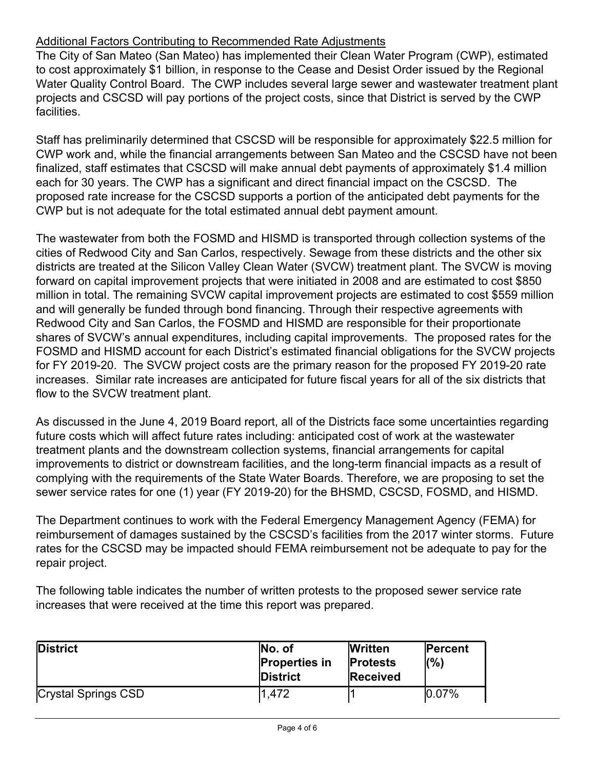# Additional Factors Contributing to Recommended Rate Adjustments

The City of San Mateo (San Mateo) has implemented their Clean Water Program (CWP), estimated to cost approximately \$1 billion, in response to the Cease and Desist Order issued by the Regional Water Quality Control Board. The CWP includes several large sewer and wastewater treatment plant projects and CSCSD will pay portions of the project costs, since that District is served by the CWP facilities.

Staff has preliminarily determined that CSCSD will be responsible for approximately \$22.5 million for CWP work and, while the financial arrangements between San Mateo and the CSCSD have not been finalized, staff estimates that CSCSD will make annual debt payments of approximately \$1.4 million each for 30 years. The CWP has a significant and direct financial impact on the CSCSD. The proposed rate increase for the CSCSD supports a portion of the anticipated debt payments for the CWP but is not adequate for the total estimated annual debt payment amount.

The wastewater from both the FOSMD and HISMD is transported through collection systems of the cities of Redwood City and San Carlos, respectively. Sewage from these districts and the other six districts are treated at the Silicon Valley Clean Water (SVCW) treatment plant. The SVCW is moving forward on capital improvement projects that were initiated in 2008 and are estimated to cost \$850 million in total. The remaining SVCW capital improvement projects are estimated to cost \$559 million and will generally be funded through bond financing. Through their respective agreements with Redwood City and San Carlos, the FOSMD and HISMD are responsible for their proportionate shares of SVCW's annual expenditures, including capital improvements. The proposed rates for the FOSMD and HISMD account for each District's estimated financial obligations for the SVCW projects for FY 2019-20. The SVCW project costs are the primary reason for the proposed FY 2019-20 rate increases. Similar rate increases are anticipated for future fiscal years for all of the six districts that flow to the SVCW treatment plant.

As discussed in the June 4, 2019 Board report, all of the Districts face some uncertainties regarding future costs which will affect future rates including: anticipated cost of work at the wastewater treatment plants and the downstream collection systems, financial arrangements for capital improvements to district or downstream facilities, and the long-term financial impacts as a result of complying with the requirements of the State Water Boards. Therefore, we are proposing to set the sewer service rates for one (1) year (FY 2019-20) for the BHSMD, CSCSD, FOSMD, and HISMD.

The Department continues to work with the Federal Emergency Management Agency (FEMA) for reimbursement of damages sustained by the CSCSD's facilities from the 2017 winter storms. Future rates for the CSCSD may be impacted should FEMA reimbursement not be adequate to pay for the repair project.

The following table indicates the number of written protests to the proposed sewer service rate increases that were received at the time this report was prepared.

| <b>District</b>     | No. of<br><b>Properties in</b><br><b>IDistrict</b> | <b>Written</b><br><b>Protests</b><br><b>Received</b> | <b>Percent</b><br>(%) |
|---------------------|----------------------------------------------------|------------------------------------------------------|-----------------------|
| Crystal Springs CSD | 1,472                                              |                                                      | $0.07\%$              |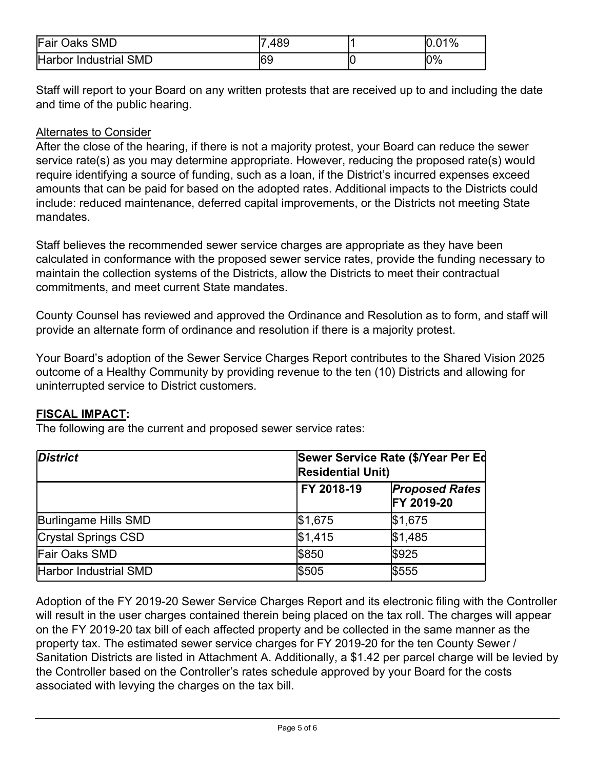| Fair                            | 489 |   | 01% |
|---------------------------------|-----|---|-----|
| Oaks SMD                        | —   |   | 0.0 |
| Industrial SMD<br><b>Harbor</b> | 169 | ע | 0%  |

Staff will report to your Board on any written protests that are received up to and including the date and time of the public hearing.

## Alternates to Consider

After the close of the hearing, if there is not a majority protest, your Board can reduce the sewer service rate(s) as you may determine appropriate. However, reducing the proposed rate(s) would require identifying a source of funding, such as a loan, if the District's incurred expenses exceed amounts that can be paid for based on the adopted rates. Additional impacts to the Districts could include: reduced maintenance, deferred capital improvements, or the Districts not meeting State mandates.

Staff believes the recommended sewer service charges are appropriate as they have been calculated in conformance with the proposed sewer service rates, provide the funding necessary to maintain the collection systems of the Districts, allow the Districts to meet their contractual commitments, and meet current State mandates.

County Counsel has reviewed and approved the Ordinance and Resolution as to form, and staff will provide an alternate form of ordinance and resolution if there is a majority protest.

Your Board's adoption of the Sewer Service Charges Report contributes to the Shared Vision 2025 outcome of a Healthy Community by providing revenue to the ten (10) Districts and allowing for uninterrupted service to District customers.

#### **FISCAL IMPACT:**

The following are the current and proposed sewer service rates:

| <b>District</b>       | Sewer Service Rate (\$/Year Per Ed<br><b>Residential Unit)</b> |                                     |  |
|-----------------------|----------------------------------------------------------------|-------------------------------------|--|
|                       | FY 2018-19                                                     | <b>Proposed Rates</b><br>FY 2019-20 |  |
| Burlingame Hills SMD  | \$1,675                                                        | \$1,675                             |  |
| Crystal Springs CSD   | \$1,415                                                        | \$1,485                             |  |
| <b>Fair Oaks SMD</b>  | \$850                                                          | \$925                               |  |
| Harbor Industrial SMD | \$505                                                          | \$555                               |  |

Adoption of the FY 2019-20 Sewer Service Charges Report and its electronic filing with the Controller will result in the user charges contained therein being placed on the tax roll. The charges will appear on the FY 2019-20 tax bill of each affected property and be collected in the same manner as the property tax. The estimated sewer service charges for FY 2019-20 for the ten County Sewer / Sanitation Districts are listed in Attachment A. Additionally, a \$1.42 per parcel charge will be levied by the Controller based on the Controller's rates schedule approved by your Board for the costs associated with levying the charges on the tax bill.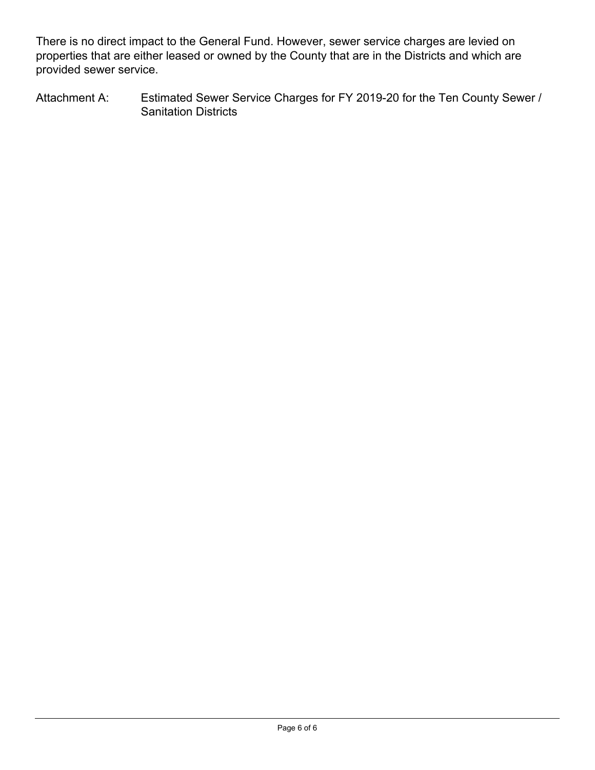There is no direct impact to the General Fund. However, sewer service charges are levied on properties that are either leased or owned by the County that are in the Districts and which are provided sewer service.

Attachment A: Estimated Sewer Service Charges for FY 2019-20 for the Ten County Sewer / Sanitation Districts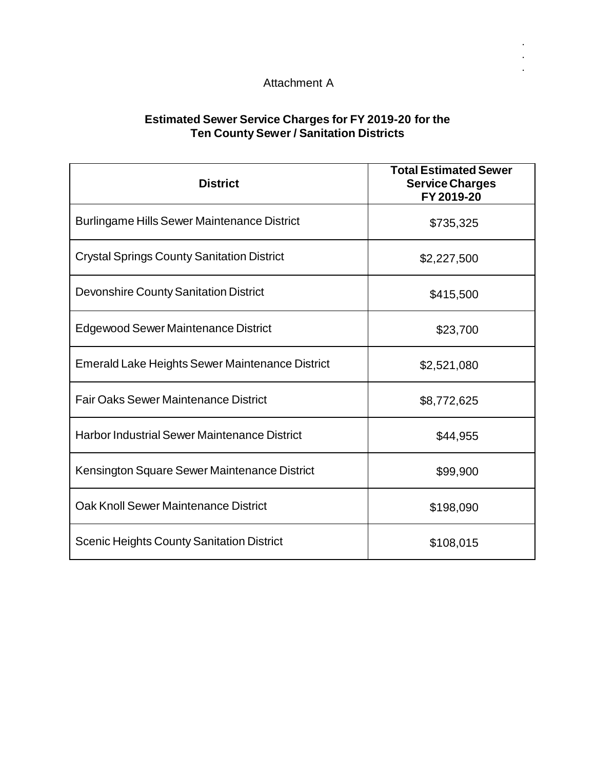#### Attachment A

. . .

#### **Estimated Sewer Service Charges for FY 2019-20 for the Ten County Sewer / Sanitation Districts**

| <b>District</b>                                        | <b>Total Estimated Sewer</b><br><b>Service Charges</b><br>FY 2019-20 |
|--------------------------------------------------------|----------------------------------------------------------------------|
| <b>Burlingame Hills Sewer Maintenance District</b>     | \$735,325                                                            |
| <b>Crystal Springs County Sanitation District</b>      | \$2,227,500                                                          |
| Devonshire County Sanitation District                  | \$415,500                                                            |
| Edgewood Sewer Maintenance District                    | \$23,700                                                             |
| <b>Emerald Lake Heights Sewer Maintenance District</b> | \$2,521,080                                                          |
| <b>Fair Oaks Sewer Maintenance District</b>            | \$8,772,625                                                          |
| <b>Harbor Industrial Sewer Maintenance District</b>    | \$44,955                                                             |
| Kensington Square Sewer Maintenance District           | \$99,900                                                             |
| Oak Knoll Sewer Maintenance District                   | \$198,090                                                            |
| <b>Scenic Heights County Sanitation District</b>       | \$108,015                                                            |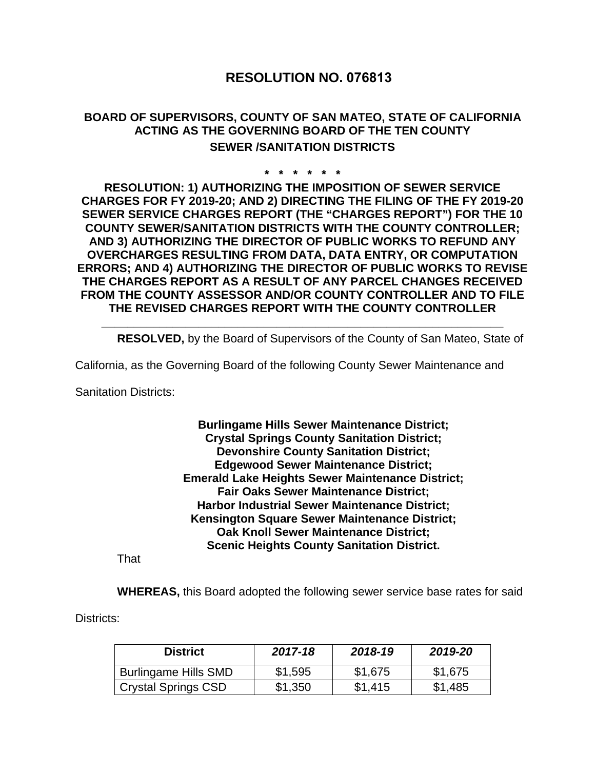# **RESOLUTION NO. 076813**

# **BOARD OF SUPERVISORS, COUNTY OF SAN MATEO, STATE OF CALIFORNIA ACTING AS THE GOVERNING BOARD OF THE TEN COUNTY SEWER /SANITATION DISTRICTS**

#### **\* \* \* \* \* \***

**RESOLUTION: 1) AUTHORIZING THE IMPOSITION OF SEWER SERVICE CHARGES FOR FY 2019-20; AND 2) DIRECTING THE FILING OF THE FY 2019-20 SEWER SERVICE CHARGES REPORT (THE "CHARGES REPORT") FOR THE 10 COUNTY SEWER/SANITATION DISTRICTS WITH THE COUNTY CONTROLLER; AND 3) AUTHORIZING THE DIRECTOR OF PUBLIC WORKS TO REFUND ANY OVERCHARGES RESULTING FROM DATA, DATA ENTRY, OR COMPUTATION ERRORS; AND 4) AUTHORIZING THE DIRECTOR OF PUBLIC WORKS TO REVISE THE CHARGES REPORT AS A RESULT OF ANY PARCEL CHANGES RECEIVED FROM THE COUNTY ASSESSOR AND/OR COUNTY CONTROLLER AND TO FILE THE REVISED CHARGES REPORT WITH THE COUNTY CONTROLLER**

**\_\_\_\_\_\_\_\_\_\_\_\_\_\_\_\_\_\_\_\_\_\_\_\_\_\_\_\_\_\_\_\_\_\_\_\_\_\_\_\_\_\_\_\_\_\_\_\_\_\_\_\_\_\_\_\_\_\_\_\_\_\_**

**RESOLVED,** by the Board of Supervisors of the County of San Mateo, State of

California, as the Governing Board of the following County Sewer Maintenance and

Sanitation Districts:

#### **Burlingame Hills Sewer Maintenance District; Crystal Springs County Sanitation District; Devonshire County Sanitation District; Edgewood Sewer Maintenance District; Emerald Lake Heights Sewer Maintenance District; Fair Oaks Sewer Maintenance District; Harbor Industrial Sewer Maintenance District; Kensington Square Sewer Maintenance District; Oak Knoll Sewer Maintenance District; Scenic Heights County Sanitation District.**

That

**WHEREAS,** this Board adopted the following sewer service base rates for said

Districts:

| <b>District</b>             | 2017-18 | 2018-19 | 2019-20 |
|-----------------------------|---------|---------|---------|
| <b>Burlingame Hills SMD</b> | \$1,595 | \$1,675 | \$1,675 |
| <b>Crystal Springs CSD</b>  | \$1,350 | \$1,415 | \$1,485 |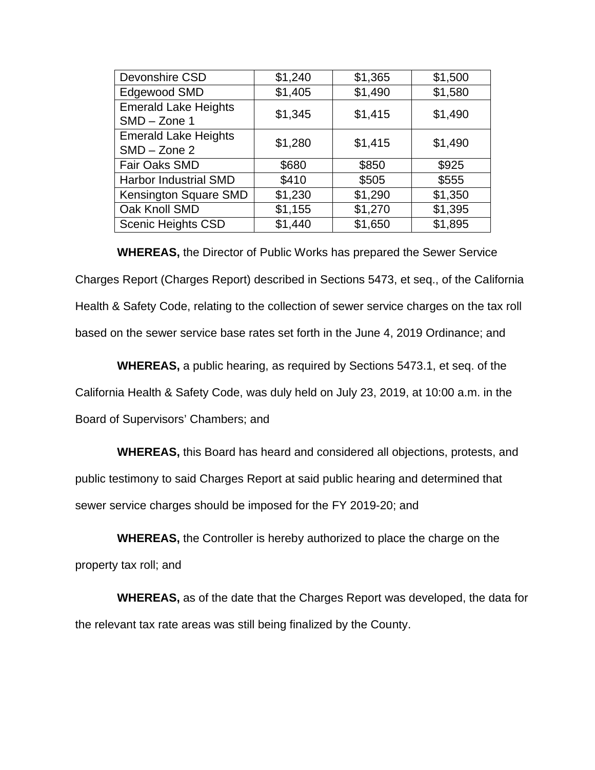| Devonshire CSD                                | \$1,240 | \$1,365 | \$1,500 |
|-----------------------------------------------|---------|---------|---------|
| Edgewood SMD                                  | \$1,405 | \$1,490 | \$1,580 |
| <b>Emerald Lake Heights</b><br>$SMD - Zone 1$ | \$1,345 | \$1,415 | \$1,490 |
| <b>Emerald Lake Heights</b><br>$SMD - Zone 2$ | \$1,280 | \$1,415 | \$1,490 |
| Fair Oaks SMD                                 | \$680   | \$850   | \$925   |
| <b>Harbor Industrial SMD</b>                  | \$410   | \$505   | \$555   |
| Kensington Square SMD                         | \$1,230 | \$1,290 | \$1,350 |
| Oak Knoll SMD                                 | \$1,155 | \$1,270 | \$1,395 |
| <b>Scenic Heights CSD</b>                     | \$1,440 | \$1,650 | \$1,895 |

**WHEREAS,** the Director of Public Works has prepared the Sewer Service Charges Report (Charges Report) described in Sections 5473, et seq., of the California Health & Safety Code, relating to the collection of sewer service charges on the tax roll based on the sewer service base rates set forth in the June 4, 2019 Ordinance; and

**WHEREAS,** a public hearing, as required by Sections 5473.1, et seq. of the California Health & Safety Code, was duly held on July 23, 2019, at 10:00 a.m. in the Board of Supervisors' Chambers; and

**WHEREAS,** this Board has heard and considered all objections, protests, and public testimony to said Charges Report at said public hearing and determined that sewer service charges should be imposed for the FY 2019-20; and

**WHEREAS,** the Controller is hereby authorized to place the charge on the property tax roll; and

**WHEREAS,** as of the date that the Charges Report was developed, the data for the relevant tax rate areas was still being finalized by the County.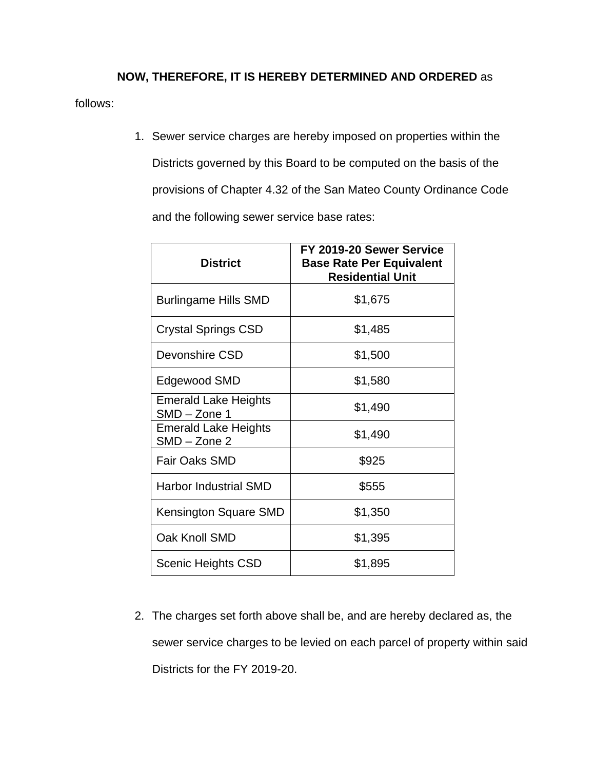# **NOW, THEREFORE, IT IS HEREBY DETERMINED AND ORDERED** as

follows:

1. Sewer service charges are hereby imposed on properties within the Districts governed by this Board to be computed on the basis of the provisions of Chapter 4.32 of the San Mateo County Ordinance Code and the following sewer service base rates:

| <b>District</b>                             | FY 2019-20 Sewer Service<br><b>Base Rate Per Equivalent</b><br><b>Residential Unit</b> |
|---------------------------------------------|----------------------------------------------------------------------------------------|
| <b>Burlingame Hills SMD</b>                 | \$1,675                                                                                |
| <b>Crystal Springs CSD</b>                  | \$1,485                                                                                |
| Devonshire CSD                              | \$1,500                                                                                |
| Edgewood SMD                                | \$1,580                                                                                |
| <b>Emerald Lake Heights</b><br>SMD - Zone 1 | \$1,490                                                                                |
| <b>Emerald Lake Heights</b><br>SMD - Zone 2 | \$1,490                                                                                |
| <b>Fair Oaks SMD</b>                        | \$925                                                                                  |
| <b>Harbor Industrial SMD</b>                | \$555                                                                                  |
| Kensington Square SMD                       | \$1,350                                                                                |
| Oak Knoll SMD                               | \$1,395                                                                                |
| Scenic Heights CSD                          | \$1,895                                                                                |

2. The charges set forth above shall be, and are hereby declared as, the sewer service charges to be levied on each parcel of property within said Districts for the FY 2019-20.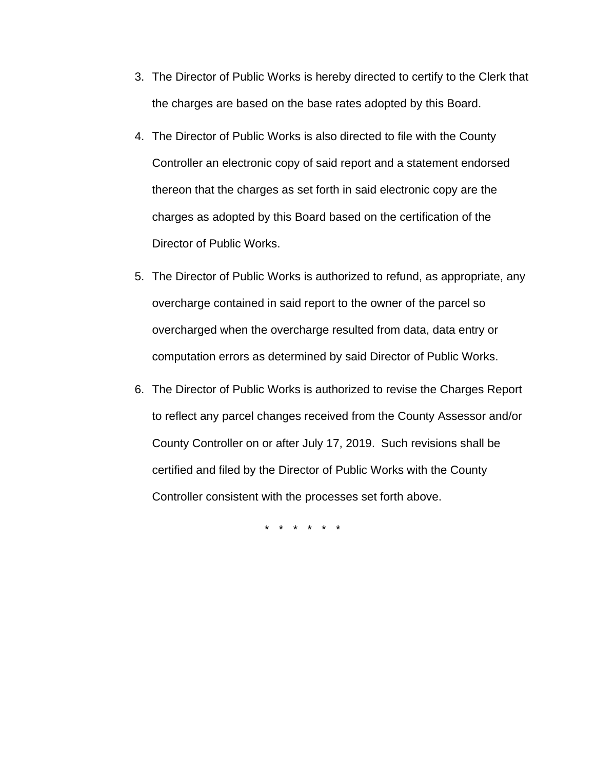- 3. The Director of Public Works is hereby directed to certify to the Clerk that the charges are based on the base rates adopted by this Board.
- 4. The Director of Public Works is also directed to file with the County Controller an electronic copy of said report and a statement endorsed thereon that the charges as set forth in said electronic copy are the charges as adopted by this Board based on the certification of the Director of Public Works.
- 5. The Director of Public Works is authorized to refund, as appropriate, any overcharge contained in said report to the owner of the parcel so overcharged when the overcharge resulted from data, data entry or computation errors as determined by said Director of Public Works.
- 6. The Director of Public Works is authorized to revise the Charges Report to reflect any parcel changes received from the County Assessor and/or County Controller on or after July 17, 2019. Such revisions shall be certified and filed by the Director of Public Works with the County Controller consistent with the processes set forth above.

\* \* \* \* \* \*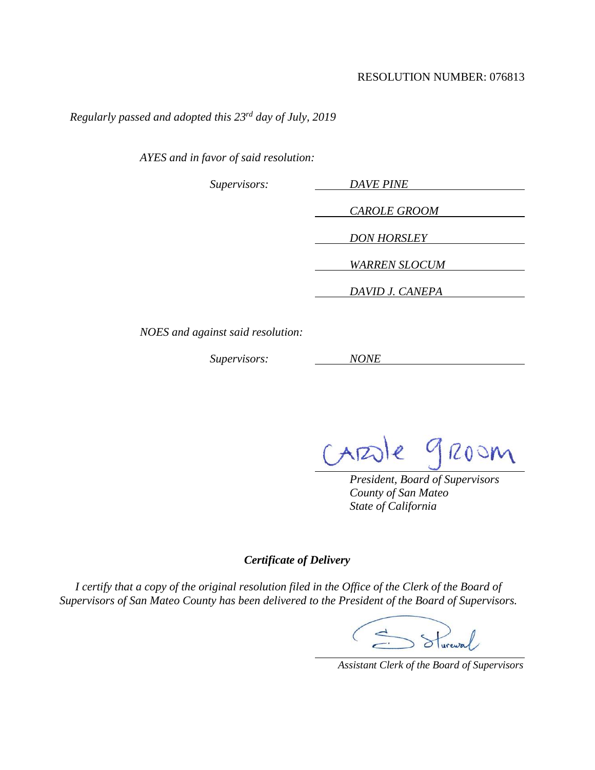*DAVID J. CANEPA*

*Regularly passed and adopted this 23rd day of July, 2019*

*AYES and in favor of said resolution:*

*Supervisors: DAVE PINE CAROLE GROOM DON HORSLEY WARREN SLOCUM*

*NOES and against said resolution:*

*Supervisors: NONE*

le Groom CAR

*President, Board of Supervisors County of San Mateo State of California*

*Certificate of Delivery*

*I certify that a copy of the original resolution filed in the Office of the Clerk of the Board of Supervisors of San Mateo County has been delivered to the President of the Board of Supervisors.*

 *Assistant Clerk of the Board of Supervisors*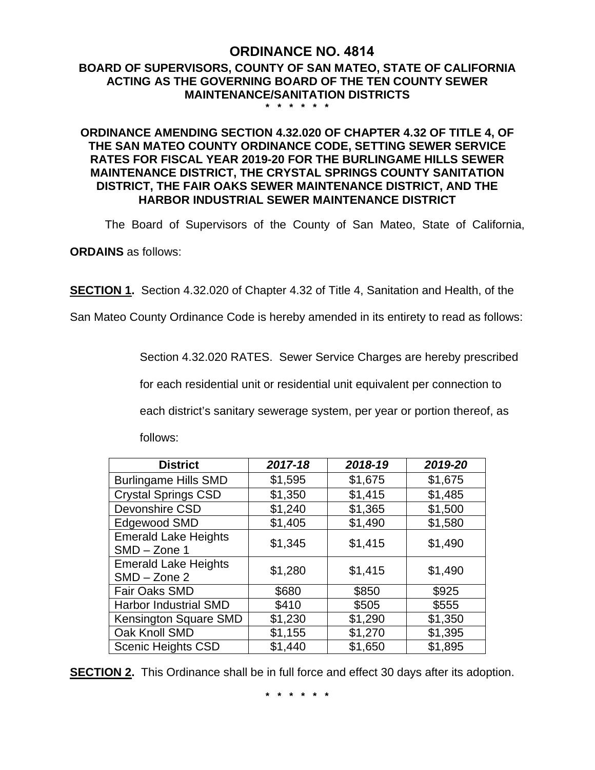#### **ORDINANCE NO. 4814 BOARD OF SUPERVISORS, COUNTY OF SAN MATEO, STATE OF CALIFORNIA ACTING AS THE GOVERNING BOARD OF THE TEN COUNTY SEWER MAINTENANCE/SANITATION DISTRICTS \* \* \* \* \* \***

#### **ORDINANCE AMENDING SECTION 4.32.020 OF CHAPTER 4.32 OF TITLE 4, OF THE SAN MATEO COUNTY ORDINANCE CODE, SETTING SEWER SERVICE RATES FOR FISCAL YEAR 2019-20 FOR THE BURLINGAME HILLS SEWER MAINTENANCE DISTRICT, THE CRYSTAL SPRINGS COUNTY SANITATION DISTRICT, THE FAIR OAKS SEWER MAINTENANCE DISTRICT, AND THE HARBOR INDUSTRIAL SEWER MAINTENANCE DISTRICT**

The Board of Supervisors of the County of San Mateo, State of California,

**ORDAINS** as follows:

**SECTION 1.** Section 4.32.020 of Chapter 4.32 of Title 4, Sanitation and Health, of the

San Mateo County Ordinance Code is hereby amended in its entirety to read as follows:

Section 4.32.020 RATES. Sewer Service Charges are hereby prescribed

for each residential unit or residential unit equivalent per connection to

each district's sanitary sewerage system, per year or portion thereof, as

| <b>District</b>                               | 2017-18 | 2018-19 | 2019-20 |
|-----------------------------------------------|---------|---------|---------|
| <b>Burlingame Hills SMD</b>                   | \$1,595 | \$1,675 | \$1,675 |
| <b>Crystal Springs CSD</b>                    | \$1,350 | \$1,415 | \$1,485 |
| Devonshire CSD                                | \$1,240 | \$1,365 | \$1,500 |
| Edgewood SMD                                  | \$1,405 | \$1,490 | \$1,580 |
| <b>Emerald Lake Heights</b><br>$SMD - Zone 1$ | \$1,345 | \$1,415 | \$1,490 |
| <b>Emerald Lake Heights</b><br>$SMD - Zone 2$ | \$1,280 | \$1,415 | \$1,490 |
| Fair Oaks SMD                                 | \$680   | \$850   | \$925   |
| <b>Harbor Industrial SMD</b>                  | \$410   | \$505   | \$555   |
| Kensington Square SMD                         | \$1,230 | \$1,290 | \$1,350 |
| Oak Knoll SMD                                 | \$1,155 | \$1,270 | \$1,395 |
| <b>Scenic Heights CSD</b>                     | \$1,440 | \$1,650 | \$1,895 |

follows:

**SECTION 2.** This Ordinance shall be in full force and effect 30 days after its adoption.

**\* \* \* \* \* \***